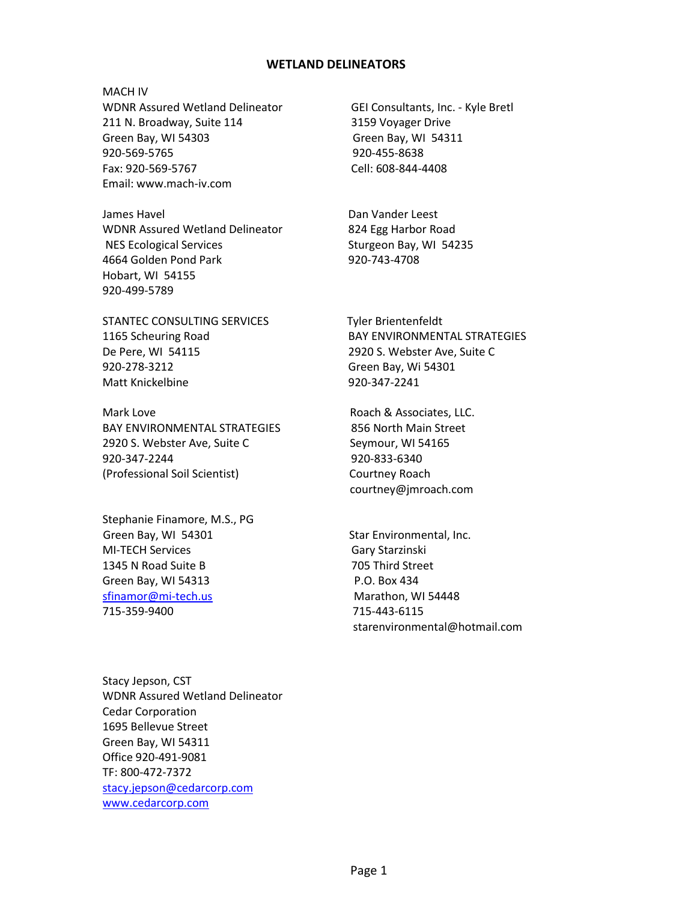## **WETLAND DELINEATORS**

MACH IV WDNR Assured Wetland Delineator GEI Consultants, Inc. - Kyle Bretl 211 N. Broadway, Suite 114 3159 Voyager Drive Green Bay, WI 54303 Green Bay, WI 54311 920-569-5765 920-455-8638 Fax: 920-569-5767 Cell: 608-844-4408 Email: www.mach-iv.com

James Havel **Dan Vander Leest** WDNR Assured Wetland Delineator 824 Egg Harbor Road NES Ecological Services Sturgeon Bay, WI 54235 4664 Golden Pond Park 920-743-4708 Hobart, WI 54155 920-499-5789

STANTEC CONSULTING SERVICES Tyler Brientenfeldt De Pere, WI 54115 2920 S. Webster Ave, Suite C 920-278-3212 Green Bay, Wi 54301 Matt Knickelbine 920-347-2241

Mark Love **Mark Love Community** Roach & Associates, LLC. BAY ENVIRONMENTAL STRATEGIES 856 North Main Street 2920 S. Webster Ave, Suite C Seymour, WI 54165 920-347-2244 920-833-6340 (Professional Soil Scientist) Courtney Roach

Stephanie Finamore, M.S., PG Green Bay, WI 54301 Star Environmental, Inc. MI-TECH Services Gary Starzinski 1345 N Road Suite B 705 Third Street Green Bay, WI 54313 P.O. Box 434 [sfinamor@mi-tech.us](mailto:sfinamor@mi-tech.us) Marathon, WI 54448 715-359-9400 715-443-6115

1165 Scheuring Road BAY ENVIRONMENTAL STRATEGIES

courtney@jmroach.com

starenvironmental@hotmail.com

Stacy Jepson, CST WDNR Assured Wetland Delineator Cedar Corporation 1695 Bellevue Street Green Bay, WI 54311 Office 920-491-9081 TF: 800-472-7372 [stacy.jepson@cedarcorp.com](mailto:stacy.jepson@cedarcorp.com) [www.cedarcorp.com](http://www.cedarcorp.com/)